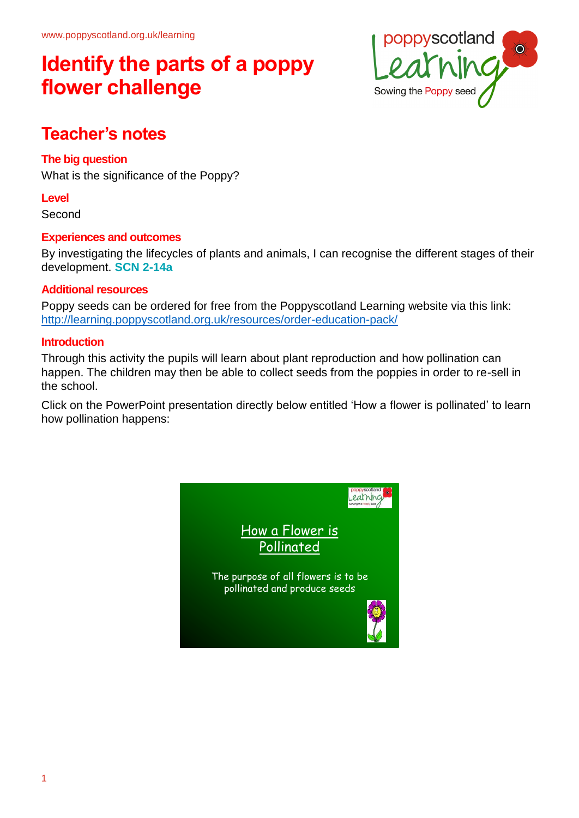

## **Teacher's notes**

#### **The big question**

What is the significance of the Poppy?

#### **Level**

Second

#### **Experiences and outcomes**

By investigating the lifecycles of plants and animals, I can recognise the different stages of their development. **SCN 2-14a**

#### **Additional resources**

Poppy seeds can be ordered for free from the Poppyscotland Learning website via this link: <http://learning.poppyscotland.org.uk/resources/order-education-pack/>

#### **Introduction**

Through this activity the pupils will learn about plant reproduction and how pollination can happen. The children may then be able to collect seeds from the poppies in order to re-sell in the school.

Click on the PowerPoint presentation directly below entitled 'How a flower is pollinated' to learn how pollination happens:

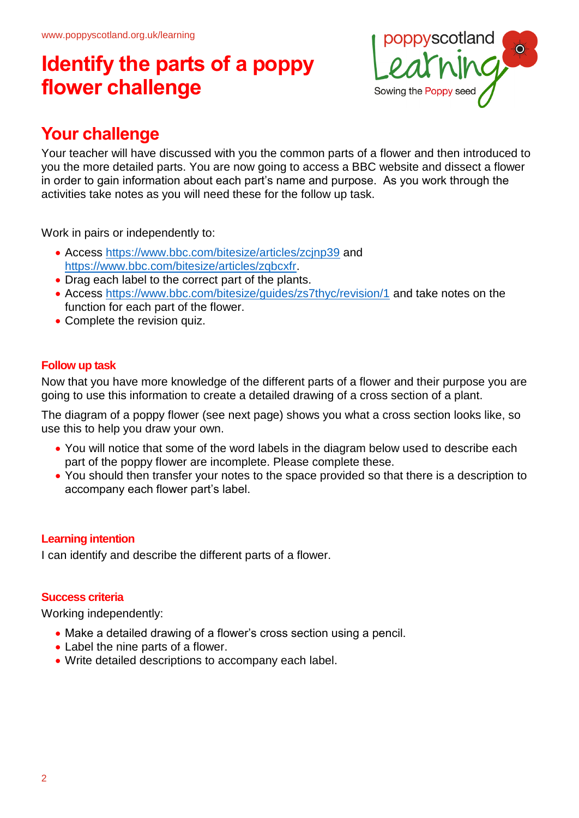

## **Your challenge**

Your teacher will have discussed with you the common parts of a flower and then introduced to you the more detailed parts. You are now going to access a BBC website and dissect a flower in order to gain information about each part's name and purpose. As you work through the activities take notes as you will need these for the follow up task.

Work in pairs or independently to:

- Access <https://www.bbc.com/bitesize/articles/zcjnp39> and [https://www.bbc.com/bitesize/articles/zqbcxfr.](https://www.bbc.com/bitesize/articles/zqbcxfr)
- Drag each label to the correct part of the plants.
- Access<https://www.bbc.com/bitesize/guides/zs7thyc/revision/1> and take notes on the function for each part of the flower.
- Complete the revision quiz.

#### **Follow up task**

Now that you have more knowledge of the different parts of a flower and their purpose you are going to use this information to create a detailed drawing of a cross section of a plant.

The diagram of a poppy flower (see next page) shows you what a cross section looks like, so use this to help you draw your own.

- You will notice that some of the word labels in the diagram below used to describe each part of the poppy flower are incomplete. Please complete these.
- You should then transfer your notes to the space provided so that there is a description to accompany each flower part's label.

#### **Learning intention**

I can identify and describe the different parts of a flower.

#### **Success criteria**

Working independently:

- Make a detailed drawing of a flower's cross section using a pencil.
- Label the nine parts of a flower.
- Write detailed descriptions to accompany each label.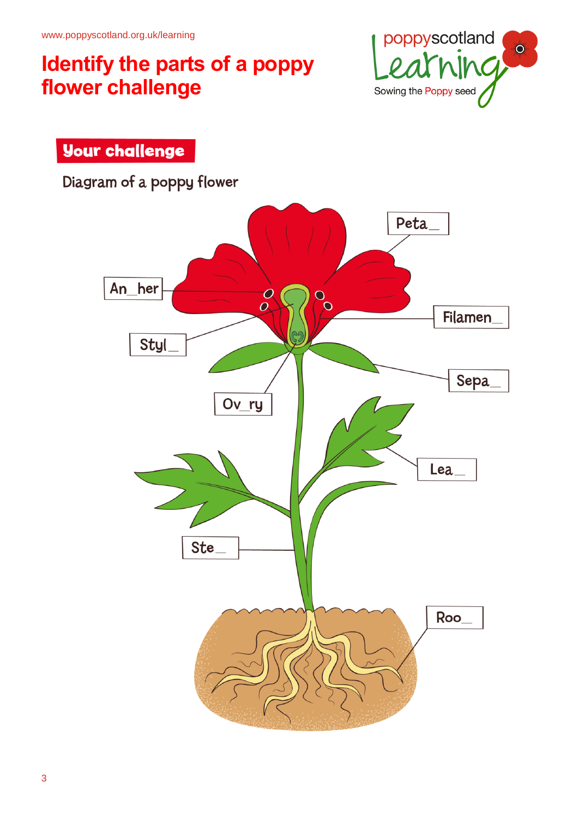



Diagram of a poppy flower

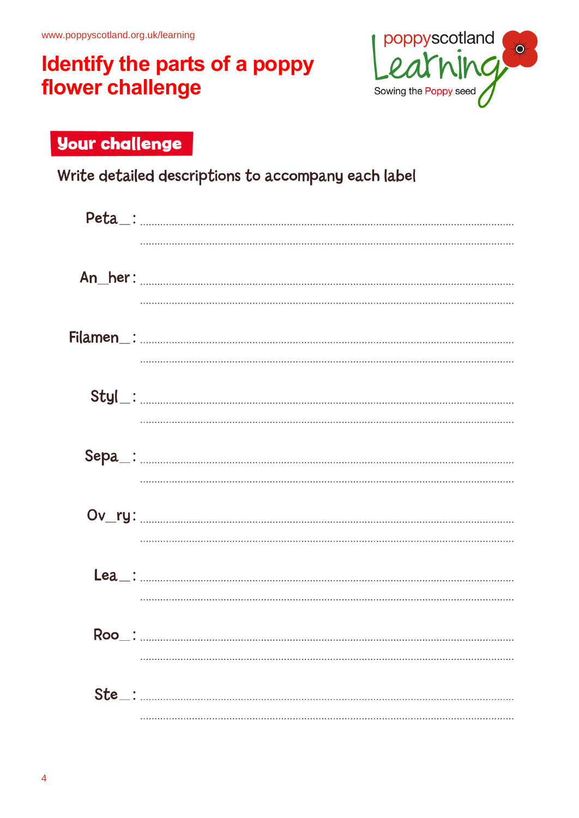

## **Your challenge**

Write detailed descriptions to accompany each label

| $\textsf{Peta}\_$ : |
|---------------------|
|                     |
|                     |
|                     |
|                     |
|                     |
|                     |
|                     |
|                     |
|                     |
|                     |
|                     |
|                     |
|                     |
|                     |
|                     |
|                     |
|                     |